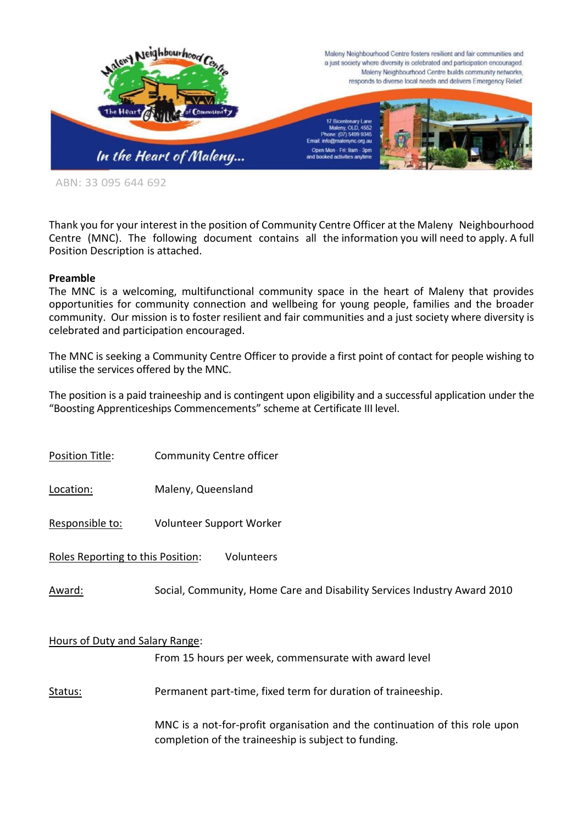

ABN: 33 095 644 692

Thank you for your interest in the position of Community Centre Officer at the Maleny Neighbourhood Centre (MNC). The following document contains all the information you will need to apply. A full Position Description is attached.

#### **Preamble**

The MNC is a welcoming, multifunctional community space in the heart of Maleny that provides opportunities for community connection and wellbeing for young people, families and the broader community. Our mission is to foster resilient and fair communities and a just society where diversity is celebrated and participation encouraged.

The MNC is seeking a Community Centre Officer to provide a first point of contact for people wishing to utilise the services offered by the MNC.

The position is a paid traineeship and is contingent upon eligibility and a successful application under the "Boosting Apprenticeships Commencements" scheme at Certificate III level.

Position Title: Community Centre officer

Location: Maleny, Queensland

Responsible to: Volunteer Support Worker

Roles Reporting to this Position: Volunteers

Award: Social, Community, Home Care and Disability Services Industry Award 2010

### Hours of Duty and Salary Range:

From 15 hours per week, commensurate with award level

Status: Permanent part-time, fixed term for duration of traineeship.

MNC is a not-for-profit organisation and the continuation of this role upon completion of the traineeship is subject to funding.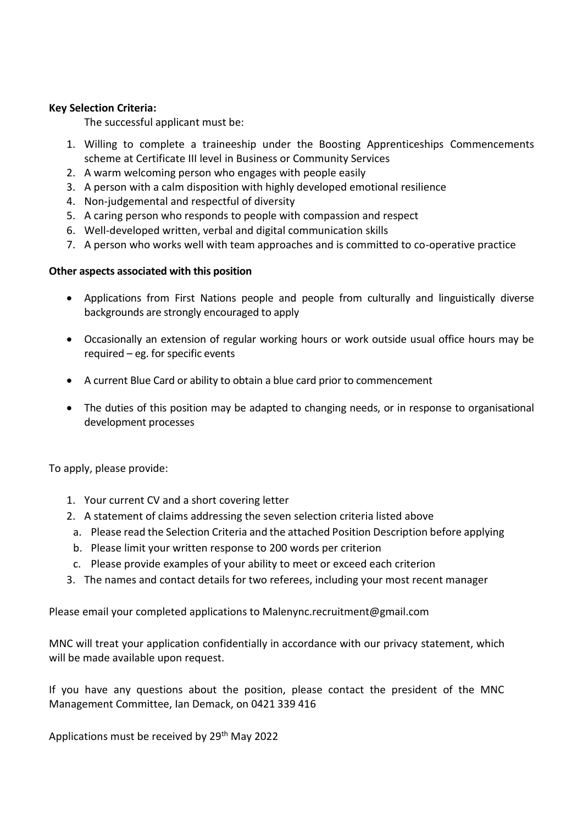## **Key Selection Criteria:**

The successful applicant must be:

- 1. Willing to complete a traineeship under the Boosting Apprenticeships Commencements scheme at Certificate III level in Business or Community Services
- 2. A warm welcoming person who engages with people easily
- 3. A person with a calm disposition with highly developed emotional resilience
- 4. Non-judgemental and respectful of diversity
- 5. A caring person who responds to people with compassion and respect
- 6. Well-developed written, verbal and digital communication skills
- 7. A person who works well with team approaches and is committed to co-operative practice

## **Other aspects associated with this position**

- Applications from First Nations people and people from culturally and linguistically diverse backgrounds are strongly encouraged to apply
- Occasionally an extension of regular working hours or work outside usual office hours may be required – eg. for specific events
- A current Blue Card or ability to obtain a blue card prior to commencement
- The duties of this position may be adapted to changing needs, or in response to organisational development processes

To apply, please provide:

- 1. Your current CV and a short covering letter
- 2. A statement of claims addressing the seven selection criteria listed above
- a. Please read the Selection Criteria and the attached Position Description before applying
- b. Please limit your written response to 200 words per criterion
- c. Please provide examples of your ability to meet or exceed each criterion
- 3. The names and contact details for two referees, including your most recent manager

Please email your completed applications to Malenync.recruitment@gmail.com

MNC will treat your application confidentially in accordance with our privacy statement, which will be made available upon request.

If you have any questions about the position, please contact the president of the MNC Management Committee, Ian Demack, on 0421 339 416

Applications must be received by 29<sup>th</sup> May 2022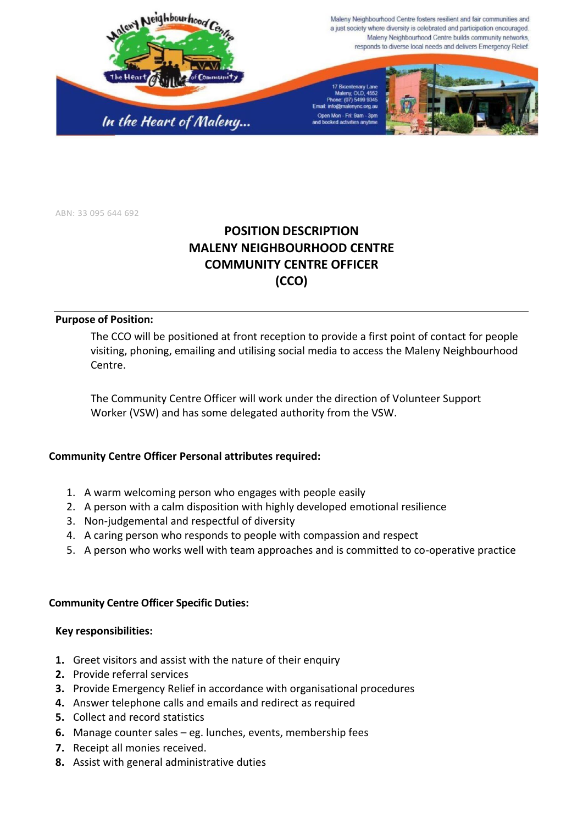

ABN: 33 095 644 692

# **POSITION DESCRIPTION MALENY NEIGHBOURHOOD CENTRE COMMUNITY CENTRE OFFICER (CCO)**

#### **Purpose of Position:**

The CCO will be positioned at front reception to provide a first point of contact for people visiting, phoning, emailing and utilising social media to access the Maleny Neighbourhood Centre.

The Community Centre Officer will work under the direction of Volunteer Support Worker (VSW) and has some delegated authority from the VSW.

## **Community Centre Officer Personal attributes required:**

- 1. A warm welcoming person who engages with people easily
- 2. A person with a calm disposition with highly developed emotional resilience
- 3. Non-judgemental and respectful of diversity
- 4. A caring person who responds to people with compassion and respect
- 5. A person who works well with team approaches and is committed to co-operative practice

## **Community Centre Officer Specific Duties:**

#### **Key responsibilities:**

- **1.** Greet visitors and assist with the nature of their enquiry
- **2.** Provide referral services
- **3.** Provide Emergency Relief in accordance with organisational procedures
- **4.** Answer telephone calls and emails and redirect as required
- **5.** Collect and record statistics
- **6.** Manage counter sales eg. lunches, events, membership fees
- **7.** Receipt all monies received.
- **8.** Assist with general administrative duties